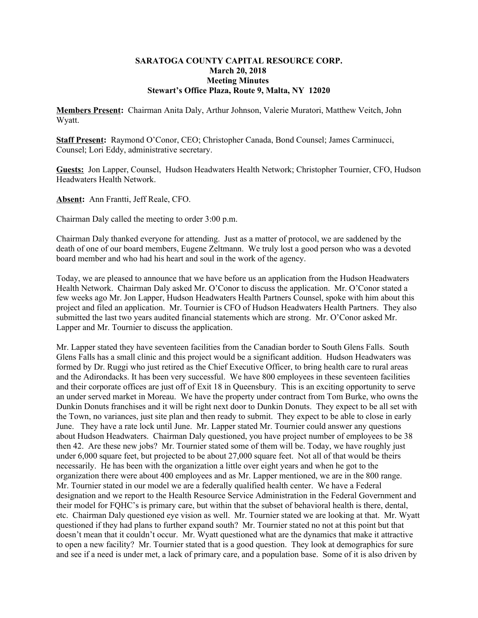## **SARATOGA COUNTY CAPITAL RESOURCE CORP. March 20, 2018 Meeting Minutes Stewart's Office Plaza, Route 9, Malta, NY 12020**

**Members Present:** Chairman Anita Daly, Arthur Johnson, Valerie Muratori, Matthew Veitch, John Wyatt.

**Staff Present:** Raymond O'Conor, CEO; Christopher Canada, Bond Counsel; James Carminucci, Counsel; Lori Eddy, administrative secretary.

**Guests:** Jon Lapper, Counsel, Hudson Headwaters Health Network; Christopher Tournier, CFO, Hudson Headwaters Health Network.

**Absent:** Ann Frantti, Jeff Reale, CFO.

Chairman Daly called the meeting to order 3:00 p.m.

Chairman Daly thanked everyone for attending. Just as a matter of protocol, we are saddened by the death of one of our board members, Eugene Zeltmann. We truly lost a good person who was a devoted board member and who had his heart and soul in the work of the agency.

Today, we are pleased to announce that we have before us an application from the Hudson Headwaters Health Network. Chairman Daly asked Mr. O'Conor to discuss the application. Mr. O'Conor stated a few weeks ago Mr. Jon Lapper, Hudson Headwaters Health Partners Counsel, spoke with him about this project and filed an application. Mr. Tournier is CFO of Hudson Headwaters Health Partners. They also submitted the last two years audited financial statements which are strong. Mr. O'Conor asked Mr. Lapper and Mr. Tournier to discuss the application.

Mr. Lapper stated they have seventeen facilities from the Canadian border to South Glens Falls. South Glens Falls has a small clinic and this project would be a significant addition. Hudson Headwaters was formed by Dr. Ruggi who just retired as the Chief Executive Officer, to bring health care to rural areas and the Adirondacks. It has been very successful. We have 800 employees in these seventeen facilities and their corporate offices are just off of Exit 18 in Queensbury. This is an exciting opportunity to serve an under served market in Moreau. We have the property under contract from Tom Burke, who owns the Dunkin Donuts franchises and it will be right next door to Dunkin Donuts. They expect to be all set with the Town, no variances, just site plan and then ready to submit. They expect to be able to close in early June. They have a rate lock until June. Mr. Lapper stated Mr. Tournier could answer any questions about Hudson Headwaters. Chairman Daly questioned, you have project number of employees to be 38 then 42. Are these new jobs? Mr. Tournier stated some of them will be. Today, we have roughly just under 6,000 square feet, but projected to be about 27,000 square feet. Not all of that would be theirs necessarily. He has been with the organization a little over eight years and when he got to the organization there were about 400 employees and as Mr. Lapper mentioned, we are in the 800 range. Mr. Tournier stated in our model we are a federally qualified health center. We have a Federal designation and we report to the Health Resource Service Administration in the Federal Government and their model for FQHC's is primary care, but within that the subset of behavioral health is there, dental, etc. Chairman Daly questioned eye vision as well. Mr. Tournier stated we are looking at that. Mr. Wyatt questioned if they had plans to further expand south? Mr. Tournier stated no not at this point but that doesn't mean that it couldn't occur. Mr. Wyatt questioned what are the dynamics that make it attractive to open a new facility? Mr. Tournier stated that is a good question. They look at demographics for sure and see if a need is under met, a lack of primary care, and a population base. Some of it is also driven by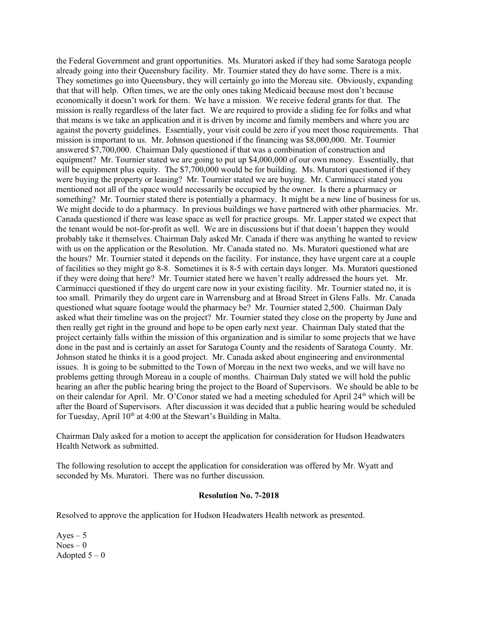the Federal Government and grant opportunities. Ms. Muratori asked if they had some Saratoga people already going into their Queensbury facility. Mr. Tournier stated they do have some. There is a mix. They sometimes go into Queensbury, they will certainly go into the Moreau site. Obviously, expanding that that will help. Often times, we are the only ones taking Medicaid because most don't because economically it doesn't work for them. We have a mission. We receive federal grants for that. The mission is really regardless of the later fact. We are required to provide a sliding fee for folks and what that means is we take an application and it is driven by income and family members and where you are against the poverty guidelines. Essentially, your visit could be zero if you meet those requirements. That mission is important to us. Mr. Johnson questioned if the financing was \$8,000,000. Mr. Tournier answered \$7,700,000. Chairman Daly questioned if that was a combination of construction and equipment? Mr. Tournier stated we are going to put up \$4,000,000 of our own money. Essentially, that will be equipment plus equity. The \$7,700,000 would be for building. Ms. Muratori questioned if they were buying the property or leasing? Mr. Tournier stated we are buying. Mr. Carminucci stated you mentioned not all of the space would necessarily be occupied by the owner. Is there a pharmacy or something? Mr. Tournier stated there is potentially a pharmacy. It might be a new line of business for us. We might decide to do a pharmacy. In previous buildings we have partnered with other pharmacies. Mr. Canada questioned if there was lease space as well for practice groups. Mr. Lapper stated we expect that the tenant would be not-for-profit as well. We are in discussions but if that doesn't happen they would probably take it themselves. Chairman Daly asked Mr. Canada if there was anything he wanted to review with us on the application or the Resolution. Mr. Canada stated no. Ms. Muratori questioned what are the hours? Mr. Tournier stated it depends on the facility. For instance, they have urgent care at a couple of facilities so they might go 8-8. Sometimes it is 8-5 with certain days longer. Ms. Muratori questioned if they were doing that here? Mr. Tournier stated here we haven't really addressed the hours yet. Mr. Carminucci questioned if they do urgent care now in your existing facility. Mr. Tournier stated no, it is too small. Primarily they do urgent care in Warrensburg and at Broad Street in Glens Falls. Mr. Canada questioned what square footage would the pharmacy be? Mr. Tournier stated 2,500. Chairman Daly asked what their timeline was on the project? Mr. Tournier stated they close on the property by June and then really get right in the ground and hope to be open early next year. Chairman Daly stated that the project certainly falls within the mission of this organization and is similar to some projects that we have done in the past and is certainly an asset for Saratoga County and the residents of Saratoga County. Mr. Johnson stated he thinks it is a good project. Mr. Canada asked about engineering and environmental issues. It is going to be submitted to the Town of Moreau in the next two weeks, and we will have no problems getting through Moreau in a couple of months. Chairman Daly stated we will hold the public hearing an after the public hearing bring the project to the Board of Supervisors. We should be able to be on their calendar for April. Mr. O'Conor stated we had a meeting scheduled for April 24<sup>th</sup> which will be after the Board of Supervisors. After discussion it was decided that a public hearing would be scheduled for Tuesday, April  $10<sup>th</sup>$  at 4:00 at the Stewart's Building in Malta.

Chairman Daly asked for a motion to accept the application for consideration for Hudson Headwaters Health Network as submitted.

The following resolution to accept the application for consideration was offered by Mr. Wyatt and seconded by Ms. Muratori. There was no further discussion.

## **Resolution No. 7-2018**

Resolved to approve the application for Hudson Headwaters Health network as presented.

 $Aves - 5$  $Noes - 0$ Adopted  $5 - 0$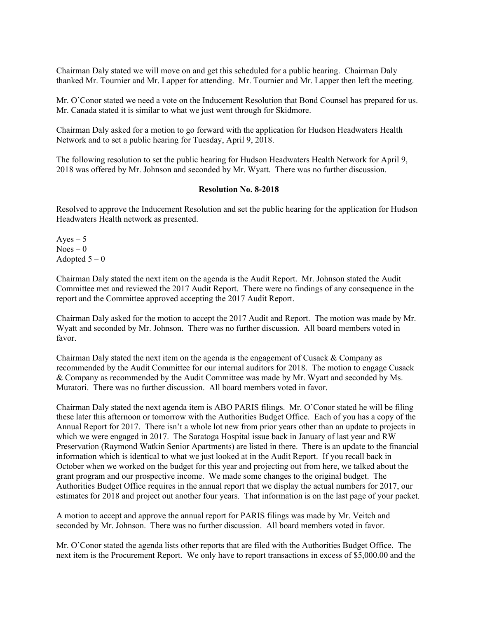Chairman Daly stated we will move on and get this scheduled for a public hearing. Chairman Daly thanked Mr. Tournier and Mr. Lapper for attending. Mr. Tournier and Mr. Lapper then left the meeting.

Mr. O'Conor stated we need a vote on the Inducement Resolution that Bond Counsel has prepared for us. Mr. Canada stated it is similar to what we just went through for Skidmore.

Chairman Daly asked for a motion to go forward with the application for Hudson Headwaters Health Network and to set a public hearing for Tuesday, April 9, 2018.

The following resolution to set the public hearing for Hudson Headwaters Health Network for April 9, 2018 was offered by Mr. Johnson and seconded by Mr. Wyatt. There was no further discussion.

## **Resolution No. 8-2018**

Resolved to approve the Inducement Resolution and set the public hearing for the application for Hudson Headwaters Health network as presented.

 $Aves - 5$  $Noes - 0$ Adopted  $5 - 0$ 

Chairman Daly stated the next item on the agenda is the Audit Report. Mr. Johnson stated the Audit Committee met and reviewed the 2017 Audit Report. There were no findings of any consequence in the report and the Committee approved accepting the 2017 Audit Report.

Chairman Daly asked for the motion to accept the 2017 Audit and Report. The motion was made by Mr. Wyatt and seconded by Mr. Johnson. There was no further discussion. All board members voted in favor.

Chairman Daly stated the next item on the agenda is the engagement of Cusack  $\&$  Company as recommended by the Audit Committee for our internal auditors for 2018. The motion to engage Cusack & Company as recommended by the Audit Committee was made by Mr. Wyatt and seconded by Ms. Muratori. There was no further discussion. All board members voted in favor.

Chairman Daly stated the next agenda item is ABO PARIS filings. Mr. O'Conor stated he will be filing these later this afternoon or tomorrow with the Authorities Budget Office. Each of you has a copy of the Annual Report for 2017. There isn't a whole lot new from prior years other than an update to projects in which we were engaged in 2017. The Saratoga Hospital issue back in January of last year and RW Preservation (Raymond Watkin Senior Apartments) are listed in there. There is an update to the financial information which is identical to what we just looked at in the Audit Report. If you recall back in October when we worked on the budget for this year and projecting out from here, we talked about the grant program and our prospective income. We made some changes to the original budget. The Authorities Budget Office requires in the annual report that we display the actual numbers for 2017, our estimates for 2018 and project out another four years. That information is on the last page of your packet.

A motion to accept and approve the annual report for PARIS filings was made by Mr. Veitch and seconded by Mr. Johnson. There was no further discussion. All board members voted in favor.

Mr. O'Conor stated the agenda lists other reports that are filed with the Authorities Budget Office. The next item is the Procurement Report. We only have to report transactions in excess of \$5,000.00 and the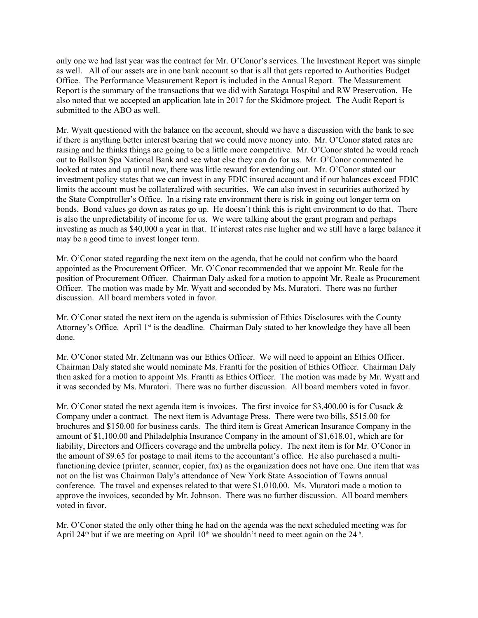only one we had last year was the contract for Mr. O'Conor's services. The Investment Report was simple as well. All of our assets are in one bank account so that is all that gets reported to Authorities Budget Office. The Performance Measurement Report is included in the Annual Report. The Measurement Report is the summary of the transactions that we did with Saratoga Hospital and RW Preservation. He also noted that we accepted an application late in 2017 for the Skidmore project. The Audit Report is submitted to the ABO as well.

Mr. Wyatt questioned with the balance on the account, should we have a discussion with the bank to see if there is anything better interest bearing that we could move money into. Mr. O'Conor stated rates are raising and he thinks things are going to be a little more competitive. Mr. O'Conor stated he would reach out to Ballston Spa National Bank and see what else they can do for us. Mr. O'Conor commented he looked at rates and up until now, there was little reward for extending out. Mr. O'Conor stated our investment policy states that we can invest in any FDIC insured account and if our balances exceed FDIC limits the account must be collateralized with securities. We can also invest in securities authorized by the State Comptroller's Office. In a rising rate environment there is risk in going out longer term on bonds. Bond values go down as rates go up. He doesn't think this is right environment to do that. There is also the unpredictability of income for us. We were talking about the grant program and perhaps investing as much as \$40,000 a year in that. If interest rates rise higher and we still have a large balance it may be a good time to invest longer term.

Mr. O'Conor stated regarding the next item on the agenda, that he could not confirm who the board appointed as the Procurement Officer. Mr. O'Conor recommended that we appoint Mr. Reale for the position of Procurement Officer. Chairman Daly asked for a motion to appoint Mr. Reale as Procurement Officer. The motion was made by Mr. Wyatt and seconded by Ms. Muratori. There was no further discussion. All board members voted in favor.

Mr. O'Conor stated the next item on the agenda is submission of Ethics Disclosures with the County Attorney's Office. April  $1<sup>st</sup>$  is the deadline. Chairman Daly stated to her knowledge they have all been done.

Mr. O'Conor stated Mr. Zeltmann was our Ethics Officer. We will need to appoint an Ethics Officer. Chairman Daly stated she would nominate Ms. Frantti for the position of Ethics Officer. Chairman Daly then asked for a motion to appoint Ms. Frantti as Ethics Officer. The motion was made by Mr. Wyatt and it was seconded by Ms. Muratori. There was no further discussion. All board members voted in favor.

Mr. O'Conor stated the next agenda item is invoices. The first invoice for \$3,400.00 is for Cusack & Company under a contract. The next item is Advantage Press. There were two bills, \$515.00 for brochures and \$150.00 for business cards. The third item is Great American Insurance Company in the amount of \$1,100.00 and Philadelphia Insurance Company in the amount of \$1,618.01, which are for liability, Directors and Officers coverage and the umbrella policy. The next item is for Mr. O'Conor in the amount of \$9.65 for postage to mail items to the accountant's office. He also purchased a multifunctioning device (printer, scanner, copier, fax) as the organization does not have one. One item that was not on the list was Chairman Daly's attendance of New York State Association of Towns annual conference. The travel and expenses related to that were \$1,010.00. Ms. Muratori made a motion to approve the invoices, seconded by Mr. Johnson. There was no further discussion. All board members voted in favor.

Mr. O'Conor stated the only other thing he had on the agenda was the next scheduled meeting was for April 24<sup>th</sup> but if we are meeting on April 10<sup>th</sup> we shouldn't need to meet again on the 24<sup>th</sup>.